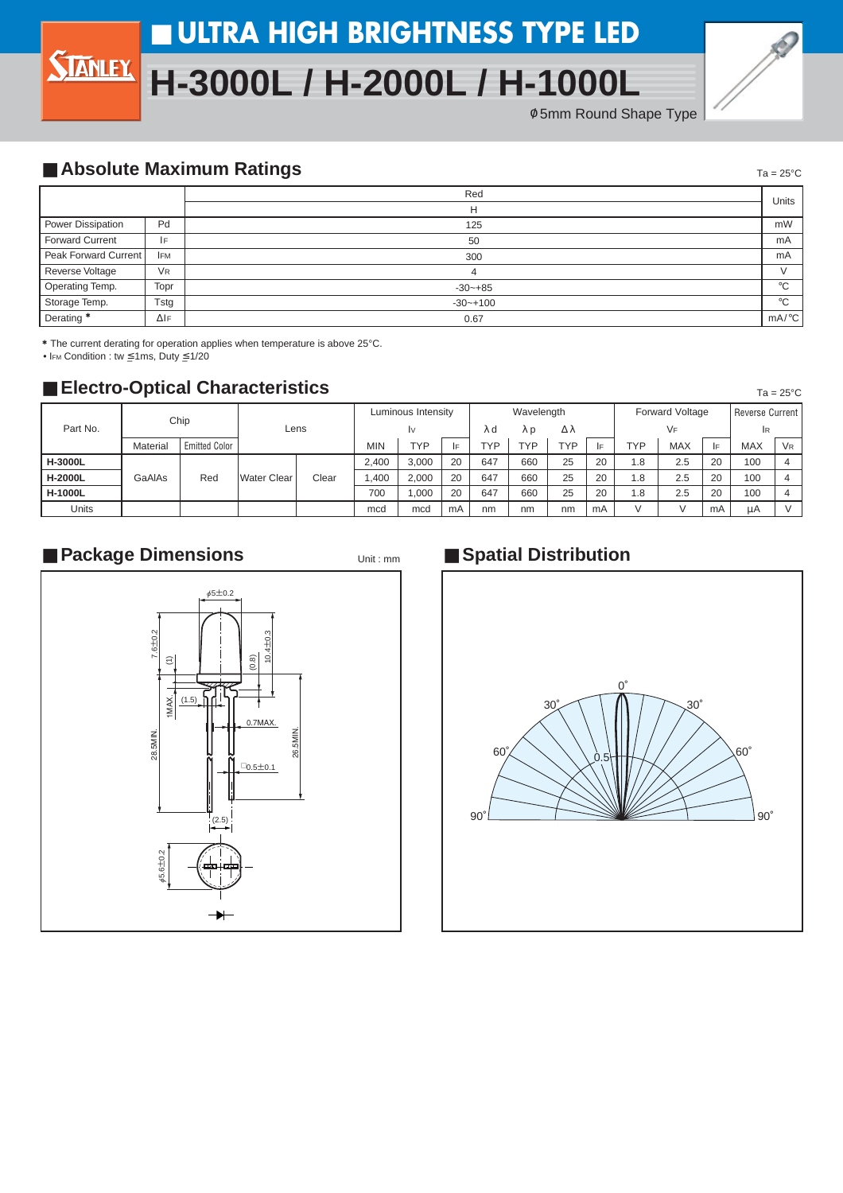# ■ **ULTRA HIGH BRIGHTNESS TYPE LED**

# **H-3000L / H-2000L / H-1000L**





 $Ta = 25^{\circ}C$ 

 $Ta = 25^{\circ}C$ 

#### ■ **Absolute Maximum Ratings**

|                       |                      | Red          | Units                 |  |  |  |  |
|-----------------------|----------------------|--------------|-----------------------|--|--|--|--|
|                       |                      | н            |                       |  |  |  |  |
| Power Dissipation     | Pd                   | 125          | mW                    |  |  |  |  |
| Forward Current       | ١F                   | 50           | mA                    |  |  |  |  |
| Peak Forward Current  | <b>IFM</b>           | 300          | mA                    |  |  |  |  |
| Reverse Voltage       | <b>V<sub>R</sub></b> | 4            |                       |  |  |  |  |
| Operating Temp.       | Topr                 | $-30 - +85$  | $\circ$               |  |  |  |  |
| Storage Temp.         | Tstg                 | $-30 - +100$ | $\circ$               |  |  |  |  |
| Derating <sup>*</sup> | $\Delta$ IF          | 0.67         | $mA$ <sup>o</sup> $C$ |  |  |  |  |

\* The current derating for operation applies when temperature is above 25°C.

• IFM Condition : tw ≤ 1ms, Duty ≤ 1/20

### ■ **Electro-Optical Characteristics**

| Part No.       | Chip     |                      | Lens               |       | Luminous Intensity |       |    | Wavelength |     |            |    | <b>Forward Voltage</b> |            |    | <b>Reverse Current</b> |                      |
|----------------|----------|----------------------|--------------------|-------|--------------------|-------|----|------------|-----|------------|----|------------------------|------------|----|------------------------|----------------------|
|                |          |                      |                    |       | I٧                 |       | λd | λp         | Δλ  |            |    | VF                     |            |    | IR.                    |                      |
|                | Material | <b>Emitted Color</b> |                    |       | <b>MIN</b>         | TYP   | E. | түр        | TVD | <b>TYP</b> | l۴ | <b>TYP</b>             | <b>MAX</b> | IF | <b>MAX</b>             | <b>V<sub>R</sub></b> |
| <b>H-3000L</b> | GaAlAs   | Red                  | <b>Water Clear</b> | Clear | 2.400              | 3.000 | 20 | 647        | 660 | 25         | 20 | 1.8                    | 2.5        | 20 | 100                    |                      |
| <b>H-2000L</b> |          |                      |                    |       | .400               | 2.000 | 20 | 647        | 660 | 25         | 20 | 1.8                    | 2.5        | 20 | 100                    | 4                    |
| <b>H-1000L</b> |          |                      |                    |       | 700                | .000  | 20 | 647        | 660 | 25         | 20 | 1.8                    | 2.5        | 20 | 100                    | Δ                    |
| <b>Units</b>   |          |                      |                    |       | mcd                | mcd   | mA | nm         | nm  | nm         | mA |                        |            | mA | μA                     |                      |

Unit : mm

#### ■ Package Dimensions **■ Package Dimensions**